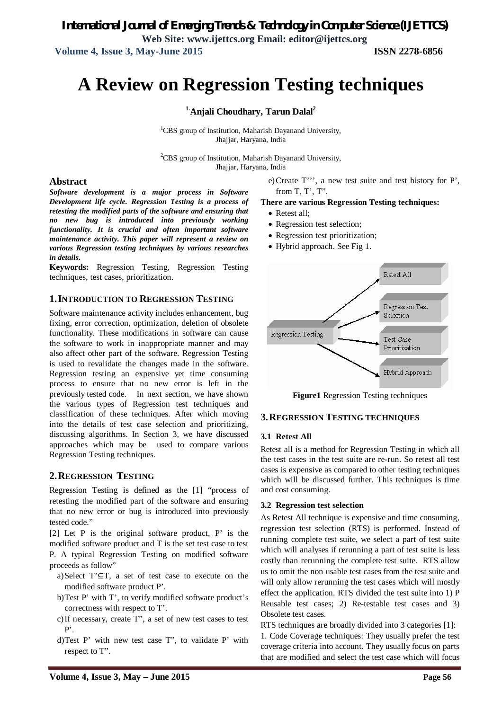*International Journal of Emerging Trends & Technology in Computer Science (IJETTCS)* **Web Site: www.ijettcs.org Email: editor@ijettcs.org Volume 4, Issue 3, May-June 2015 ISSN 2278-6856**

# **A Review on Regression Testing techniques**

**1.Anjali Choudhary, Tarun Dalal<sup>2</sup>**

<sup>1</sup>CBS group of Institution, Maharish Dayanand University, Jhajjar, Haryana, India

 ${}^{2}$ CBS group of Institution, Maharish Dayanand University, Jhajjar, Haryana, India

#### **Abstract**

*Software development is a major process in Software Development life cycle. Regression Testing is a process of retesting the modified parts of the software and ensuring that no new bug is introduced into previously working functionality. It is crucial and often important software maintenance activity. This paper will represent a review on various Regression testing techniques by various researches in details.*

**Keywords:** Regression Testing, Regression Testing techniques, test cases, prioritization.

#### **1.INTRODUCTION TO REGRESSION TESTING**

Software maintenance activity includes enhancement, bug fixing, error correction, optimization, deletion of obsolete functionality. These modifications in software can cause the software to work in inappropriate manner and may also affect other part of the software. Regression Testing is used to revalidate the changes made in the software. Regression testing an expensive yet time consuming process to ensure that no new error is left in the previously tested code. In next section, we have shown the various types of Regression test techniques and classification of these techniques. After which moving into the details of test case selection and prioritizing, discussing algorithms. In Section 3, we have discussed approaches which may be used to compare various Regression Testing techniques.

#### **2.REGRESSION TESTING**

Regression Testing is defined as the [1] "process of retesting the modified part of the software and ensuring that no new error or bug is introduced into previously tested code."

[2] Let P is the original software product, P' is the modified software product and T is the set test case to test P. A typical Regression Testing on modified software proceeds as follow"

- a)Select T'⊆T, a set of test case to execute on the modified software product P'.
- b)Test P' with T', to verify modified software product's correctness with respect to T'.
- c)If necessary, create T", a set of new test cases to test P'.
- d)Test P' with new test case T", to validate P' with respect to T".

e)Create T''', a new test suite and test history for P', from T, T', T".

#### **There are various Regression Testing techniques:**

- Retest all:
- Regression test selection;
- Regression test prioritization;
- Hybrid approach. See Fig 1.



**Figure1** Regression Testing techniques

#### **3.REGRESSION TESTING TECHNIQUES**

#### **3.1 Retest All**

Retest all is a method for Regression Testing in which all the test cases in the test suite are re-run. So retest all test cases is expensive as compared to other testing techniques which will be discussed further. This techniques is time and cost consuming.

#### **3.2 Regression test selection**

As Retest All technique is expensive and time consuming, regression test selection (RTS) is performed. Instead of running complete test suite, we select a part of test suite which will analyses if rerunning a part of test suite is less costly than rerunning the complete test suite. RTS allow us to omit the non usable test cases from the test suite and will only allow rerunning the test cases which will mostly effect the application. RTS divided the test suite into 1) P Reusable test cases; 2) Re-testable test cases and 3) Obsolete test cases.

RTS techniques are broadly divided into 3 categories [1]: 1. Code Coverage techniques: They usually prefer the test coverage criteria into account. They usually focus on parts that are modified and select the test case which will focus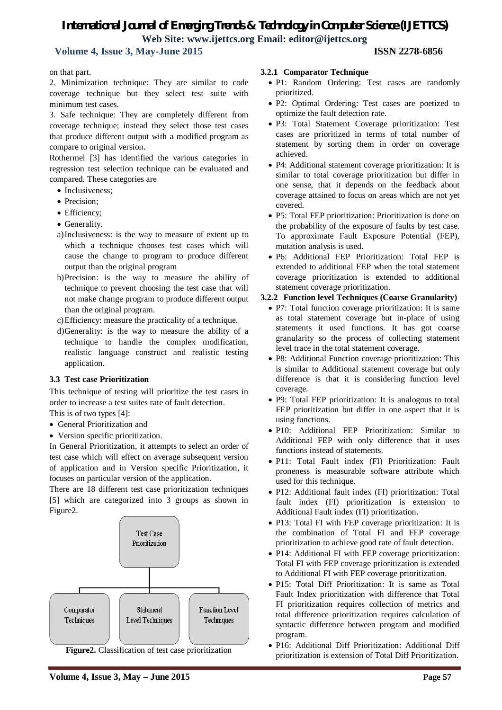## *International Journal of Emerging Trends & Technology in Computer Science (IJETTCS)* **Web Site: www.ijettcs.org Email: editor@ijettcs.org**

 **Volume 4, Issue 3, May-June 2015 ISSN 2278-6856**

#### on that part.

2. Minimization technique: They are similar to code coverage technique but they select test suite with minimum test cases.

3. Safe technique: They are completely different from coverage technique; instead they select those test cases that produce different output with a modified program as compare to original version.

Rothermel [3] has identified the various categories in regression test selection technique can be evaluated and compared. These categories are

- Inclusiveness:
- Precision:
- Efficiency;
- Generality.
- a)Inclusiveness: is the way to measure of extent up to which a technique chooses test cases which will cause the change to program to produce different output than the original program
- b)Precision: is the way to measure the ability of technique to prevent choosing the test case that will not make change program to produce different output than the original program.
- c)Efficiency: measure the practicality of a technique.
- d)Generality: is the way to measure the ability of a technique to handle the complex modification, realistic language construct and realistic testing application.

#### **3.3 Test case Prioritization**

This technique of testing will prioritize the test cases in order to increase a test suites rate of fault detection.

This is of two types [4]:

- General Prioritization and
- Version specific prioritization.

In General Prioritization, it attempts to select an order of test case which will effect on average subsequent version of application and in Version specific Prioritization, it focuses on particular version of the application.

There are 18 different test case prioritization techniques [5] which are categorized into 3 groups as shown in Figure2.





## **Volume 4, Issue 3, May – June 2015 Page 57**

#### **3.2.1 Comparator Technique**

- P1: Random Ordering: Test cases are randomly prioritized.
- P2: Optimal Ordering: Test cases are poetized to optimize the fault detection rate.
- P3: Total Statement Coverage prioritization: Test cases are prioritized in terms of total number of statement by sorting them in order on coverage achieved.
- P4: Additional statement coverage prioritization: It is similar to total coverage prioritization but differ in one sense, that it depends on the feedback about coverage attained to focus on areas which are not yet covered.
- P5: Total FEP prioritization: Prioritization is done on the probability of the exposure of faults by test case. To approximate Fault Exposure Potential (FEP), mutation analysis is used.
- P6: Additional FEP Prioritization: Total FEP is extended to additional FEP when the total statement coverage prioritization is extended to additional statement coverage prioritization.

#### **3.2.2 Function level Techniques (Coarse Granularity)**

- P7: Total function coverage prioritization: It is same as total statement coverage but in-place of using statements it used functions. It has got coarse granularity so the process of collecting statement level trace in the total statement coverage.
- P8: Additional Function coverage prioritization: This is similar to Additional statement coverage but only difference is that it is considering function level coverage.
- P9: Total FEP prioritization: It is analogous to total FEP prioritization but differ in one aspect that it is using functions.
- P10: Additional FEP Prioritization: Similar to Additional FEP with only difference that it uses functions instead of statements.
- P11: Total Fault index (FI) Prioritization: Fault proneness is measurable software attribute which used for this technique.
- P12: Additional fault index (FI) prioritization: Total fault index (FI) prioritization is extension to Additional Fault index (FI) prioritization.
- P13: Total FI with FEP coverage prioritization: It is the combination of Total FI and FEP coverage prioritization to achieve good rate of fault detection.
- P14: Additional FI with FEP coverage prioritization: Total FI with FEP coverage prioritization is extended to Additional FI with FEP coverage prioritization.
- P15: Total Diff Prioritization: It is same as Total Fault Index prioritization with difference that Total FI prioritization requires collection of metrics and total difference prioritization requires calculation of syntactic difference between program and modified program.
- P16: Additional Diff Prioritization: Additional Diff prioritization is extension of Total Diff Prioritization.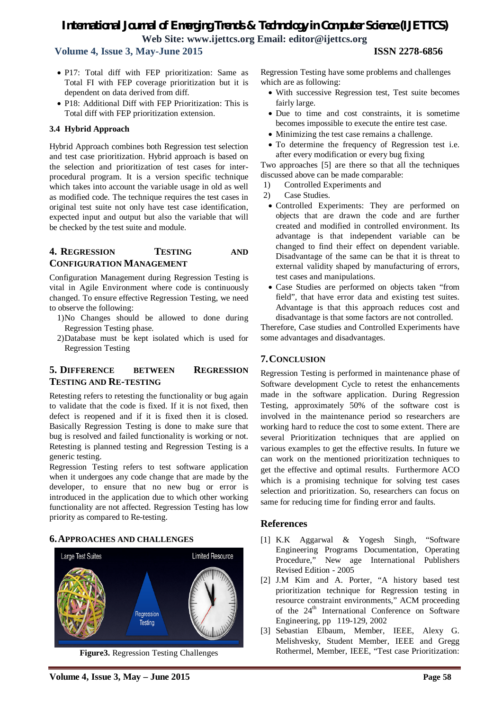## *International Journal of Emerging Trends & Technology in Computer Science (IJETTCS)* **Web Site: www.ijettcs.org Email: editor@ijettcs.org**

## **Volume 4, Issue 3, May-June 2015 ISSN 2278-6856**

- P17: Total diff with FEP prioritization: Same as Total FI with FEP coverage prioritization but it is dependent on data derived from diff.
- P18: Additional Diff with FEP Prioritization: This is Total diff with FEP prioritization extension.

#### **3.4 Hybrid Approach**

Hybrid Approach combines both Regression test selection and test case prioritization. Hybrid approach is based on the selection and prioritization of test cases for interprocedural program. It is a version specific technique which takes into account the variable usage in old as well as modified code. The technique requires the test cases in original test suite not only have test case identification, expected input and output but also the variable that will be checked by the test suite and module.

#### **4. REGRESSION TESTING AND CONFIGURATION MANAGEMENT**

Configuration Management during Regression Testing is vital in Agile Environment where code is continuously changed. To ensure effective Regression Testing, we need to observe the following:

- 1)No Changes should be allowed to done during Regression Testing phase.
- 2)Database must be kept isolated which is used for Regression Testing

#### **5. DIFFERENCE BETWEEN REGRESSION TESTING AND RE-TESTING**

Retesting refers to retesting the functionality or bug again to validate that the code is fixed. If it is not fixed, then defect is reopened and if it is fixed then it is closed. Basically Regression Testing is done to make sure that bug is resolved and failed functionality is working or not. Retesting is planned testing and Regression Testing is a generic testing.

Regression Testing refers to test software application when it undergoes any code change that are made by the developer, to ensure that no new bug or error is introduced in the application due to which other working functionality are not affected. Regression Testing has low priority as compared to Re-testing.

#### **6.APPROACHES AND CHALLENGES**



**Figure3.** Regression Testing Challenges

Regression Testing have some problems and challenges which are as following:

- With successive Regression test, Test suite becomes fairly large.
- Due to time and cost constraints, it is sometime becomes impossible to execute the entire test case.
- Minimizing the test case remains a challenge.
- To determine the frequency of Regression test i.e. after every modification or every bug fixing

Two approaches [5] are there so that all the techniques discussed above can be made comparable:

- 1) Controlled Experiments and
- 2) Case Studies.
- Controlled Experiments: They are performed on objects that are drawn the code and are further created and modified in controlled environment. Its advantage is that independent variable can be changed to find their effect on dependent variable. Disadvantage of the same can be that it is threat to external validity shaped by manufacturing of errors, test cases and manipulations.
- Case Studies are performed on objects taken "from field", that have error data and existing test suites. Advantage is that this approach reduces cost and disadvantage is that some factors are not controlled.

Therefore, Case studies and Controlled Experiments have some advantages and disadvantages.

#### **7.CONCLUSION**

Regression Testing is performed in maintenance phase of Software development Cycle to retest the enhancements made in the software application. During Regression Testing, approximately 50% of the software cost is involved in the maintenance period so researchers are working hard to reduce the cost to some extent. There are several Prioritization techniques that are applied on various examples to get the effective results. In future we can work on the mentioned prioritization techniques to get the effective and optimal results. Furthermore ACO which is a promising technique for solving test cases selection and prioritization. So, researchers can focus on same for reducing time for finding error and faults.

#### **References**

- [1] K.K Aggarwal & Yogesh Singh, "Software Engineering Programs Documentation, Operating Procedure," New age International Publishers Revised Edition - 2005
- [2] J.M Kim and A. Porter, "A history based test prioritization technique for Regression testing in resource constraint environments," ACM proceeding of the  $24<sup>th</sup>$  International Conference on Software Engineering, pp 119-129, 2002
- [3] Sebastian Elbaum, Member, IEEE, Alexy G. Melishvesky, Student Member, IEEE and Gregg Rothermel, Member, IEEE, "Test case Prioritization: